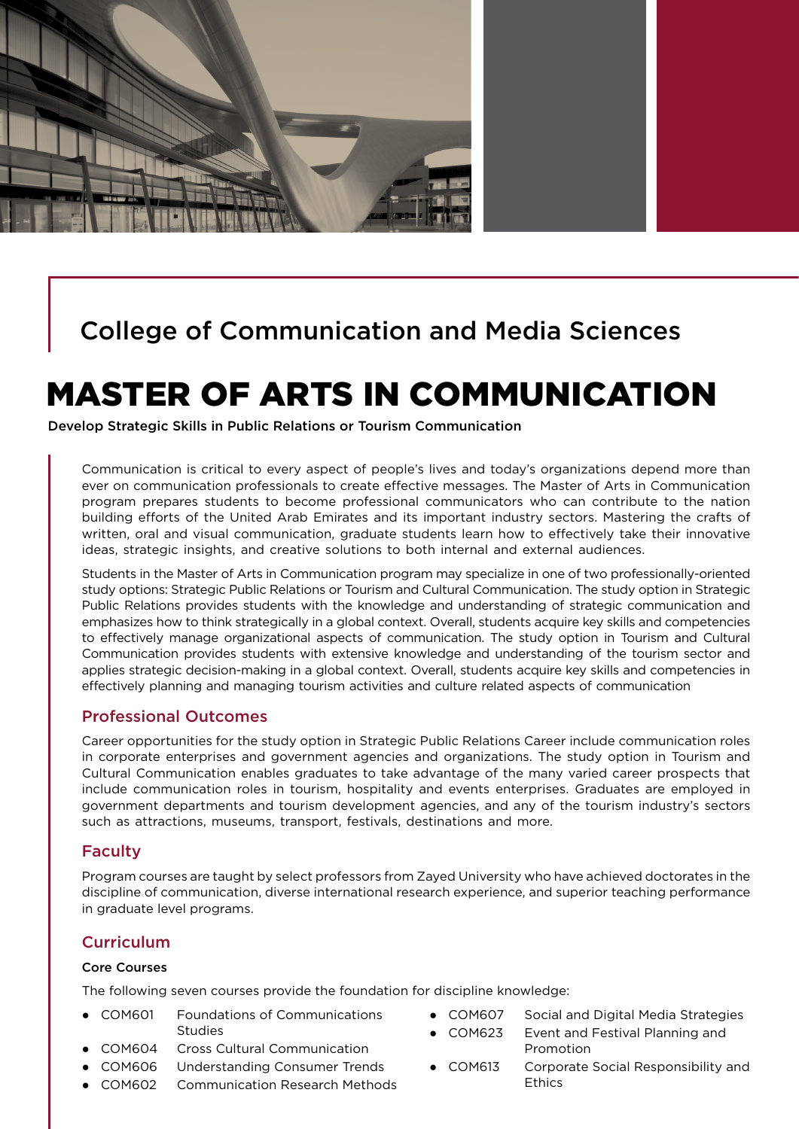

# College of Communication and Media Sciences

# MASTER OF ARTS IN COMMUNICATION

Develop Strategic Skills in Public Relations or Tourism Communication

Communication is critical to every aspect of people's lives and today's organizations depend more than ever on communication professionals to create effective messages. The Master of Arts in Communication program prepares students to become professional communicators who can contribute to the nation building efforts of the United Arab Emirates and its important industry sectors. Mastering the crafts of written, oral and visual communication, graduate students learn how to effectively take their innovative ideas, strategic insights, and creative solutions to both internal and external audiences.

Students in the Master of Arts in Communication program may specialize in one of two professionally-oriented study options: Strategic Public Relations or Tourism and Cultural Communication. The study option in Strategic Public Relations provides students with the knowledge and understanding of strategic communication and emphasizes how to think strategically in a global context. Overall, students acquire key skills and competencies to effectively manage organizational aspects of communication. The study option in Tourism and Cultural Communication provides students with extensive knowledge and understanding of the tourism sector and applies strategic decision-making in a global context. Overall, students acquire key skills and competencies in effectively planning and managing tourism activities and culture related aspects of communication

#### Professional Outcomes

Career opportunities for the study option in Strategic Public Relations Career include communication roles in corporate enterprises and government agencies and organizations. The study option in Tourism and Cultural Communication enables graduates to take advantage of the many varied career prospects that include communication roles in tourism, hospitality and events enterprises. Graduates are employed in government departments and tourism development agencies, and any of the tourism industry's sectors such as attractions, museums, transport, festivals, destinations and more.

#### Faculty

Program courses are taught by select professors from Zayed University who have achieved doctorates in the discipline of communication, diverse international research experience, and superior teaching performance in graduate level programs.

# **Curriculum**

#### Core Courses

The following seven courses provide the foundation for discipline knowledge:

- COM601 Foundations of Communications Studies
- COM604 Cross Cultural Communication
- COM606 Understanding Consumer Trends
- COM602 Communication Research Methods
- COM607 Social and Digital Media Strategies
	- COM623 Event and Festival Planning and Promotion
- COM613 Corporate Social Responsibility and **Ethics**